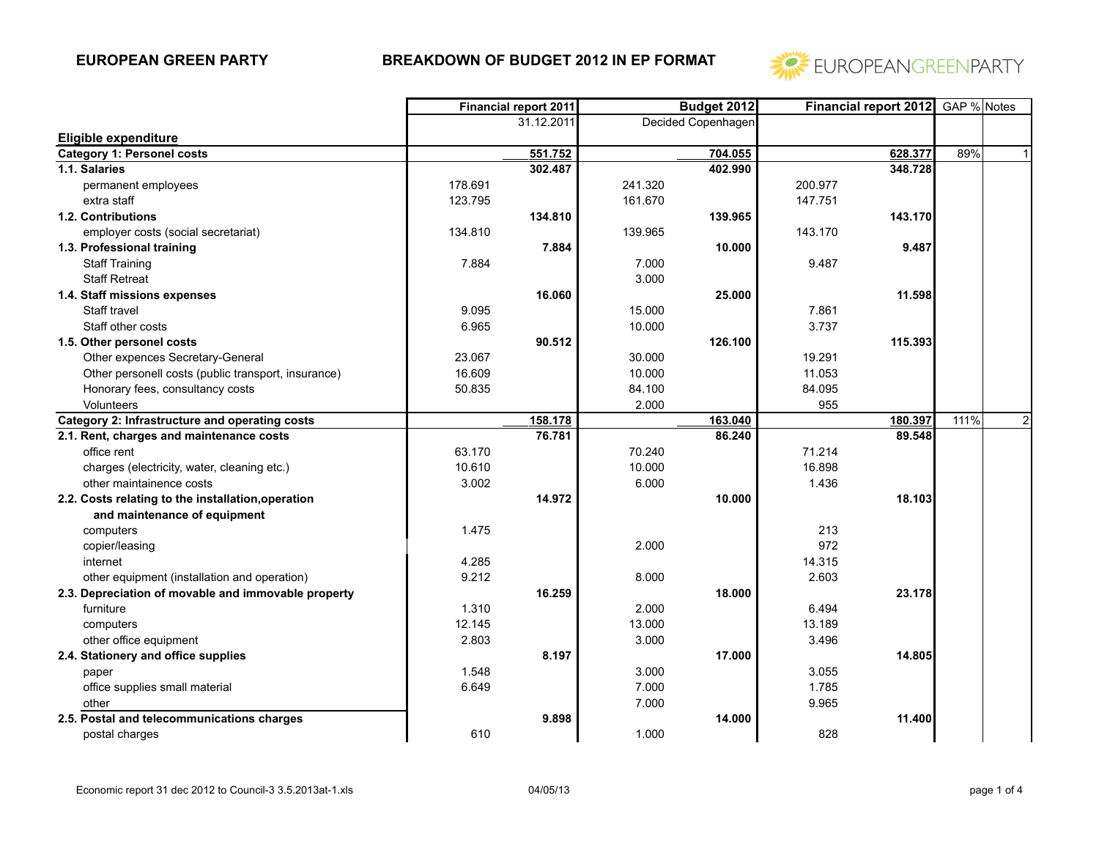

|                                                     |         | <b>Financial report 2011</b> | Budget 2012 |                    |         | <b>Financial report 2012</b> | GAP % Notes |              |
|-----------------------------------------------------|---------|------------------------------|-------------|--------------------|---------|------------------------------|-------------|--------------|
|                                                     |         | 31.12.2011                   |             | Decided Copenhagen |         |                              |             |              |
| Eligible expenditure                                |         |                              |             |                    |         |                              |             |              |
| <b>Category 1: Personel costs</b>                   |         | 551.752                      |             | 704.055            |         | 628.377                      | 89%         | 1            |
| 1.1. Salaries                                       |         | 302.487                      |             | 402.990            |         | 348.728                      |             |              |
| permanent employees                                 | 178.691 |                              | 241.320     |                    | 200.977 |                              |             |              |
| extra staff                                         | 123.795 |                              | 161.670     |                    | 147.751 |                              |             |              |
| 1.2. Contributions                                  |         | 134.810                      |             | 139.965            |         | 143.170                      |             |              |
| employer costs (social secretariat)                 | 134.810 |                              | 139.965     |                    | 143.170 |                              |             |              |
| 1.3. Professional training                          |         | 7.884                        |             | 10.000             |         | 9.487                        |             |              |
| <b>Staff Training</b>                               | 7.884   |                              | 7.000       |                    | 9.487   |                              |             |              |
| <b>Staff Retreat</b>                                |         |                              | 3.000       |                    |         |                              |             |              |
| 1.4. Staff missions expenses                        |         | 16.060                       |             | 25.000             |         | 11.598                       |             |              |
| Staff travel                                        | 9.095   |                              | 15.000      |                    | 7.861   |                              |             |              |
| Staff other costs                                   | 6.965   |                              | 10.000      |                    | 3.737   |                              |             |              |
| 1.5. Other personel costs                           |         | 90.512                       |             | 126.100            |         | 115.393                      |             |              |
| Other expences Secretary-General                    | 23.067  |                              | 30.000      |                    | 19.291  |                              |             |              |
| Other personell costs (public transport, insurance) | 16.609  |                              | 10.000      |                    | 11.053  |                              |             |              |
| Honorary fees, consultancy costs                    | 50.835  |                              | 84.100      |                    | 84.095  |                              |             |              |
| Volunteers                                          |         |                              | 2.000       |                    | 955     |                              |             |              |
| Category 2: Infrastructure and operating costs      |         | 158.178                      |             | 163.040            |         | 180.397                      | 111%        | $\mathbf{2}$ |
| 2.1. Rent, charges and maintenance costs            |         | 76.781                       |             | 86.240             |         | 89.548                       |             |              |
| office rent                                         | 63.170  |                              | 70.240      |                    | 71.214  |                              |             |              |
| charges (electricity, water, cleaning etc.)         | 10.610  |                              | 10.000      |                    | 16.898  |                              |             |              |
| other maintainence costs                            | 3.002   |                              | 6.000       |                    | 1.436   |                              |             |              |
| 2.2. Costs relating to the installation, operation  |         | 14.972                       |             | 10.000             |         | 18.103                       |             |              |
| and maintenance of equipment                        |         |                              |             |                    |         |                              |             |              |
| computers                                           | 1.475   |                              |             |                    | 213     |                              |             |              |
| copier/leasing                                      |         |                              | 2.000       |                    | 972     |                              |             |              |
| internet                                            | 4.285   |                              |             |                    | 14.315  |                              |             |              |
| other equipment (installation and operation)        | 9.212   |                              | 8.000       |                    | 2.603   |                              |             |              |
| 2.3. Depreciation of movable and immovable property |         | 16.259                       |             | 18.000             |         | 23.178                       |             |              |
| furniture                                           | 1.310   |                              | 2.000       |                    | 6.494   |                              |             |              |
| computers                                           | 12.145  |                              | 13.000      |                    | 13.189  |                              |             |              |
| other office equipment                              | 2.803   |                              | 3.000       |                    | 3.496   |                              |             |              |
| 2.4. Stationery and office supplies                 |         | 8.197                        |             | 17.000             |         | 14.805                       |             |              |
| paper                                               | 1.548   |                              | 3.000       |                    | 3.055   |                              |             |              |
| office supplies small material                      | 6.649   |                              | 7.000       |                    | 1.785   |                              |             |              |
| other                                               |         |                              | 7.000       |                    | 9.965   |                              |             |              |
| 2.5. Postal and telecommunications charges          |         | 9.898                        |             | 14.000             |         | 11.400                       |             |              |
| postal charges                                      | 610     |                              | 1.000       |                    | 828     |                              |             |              |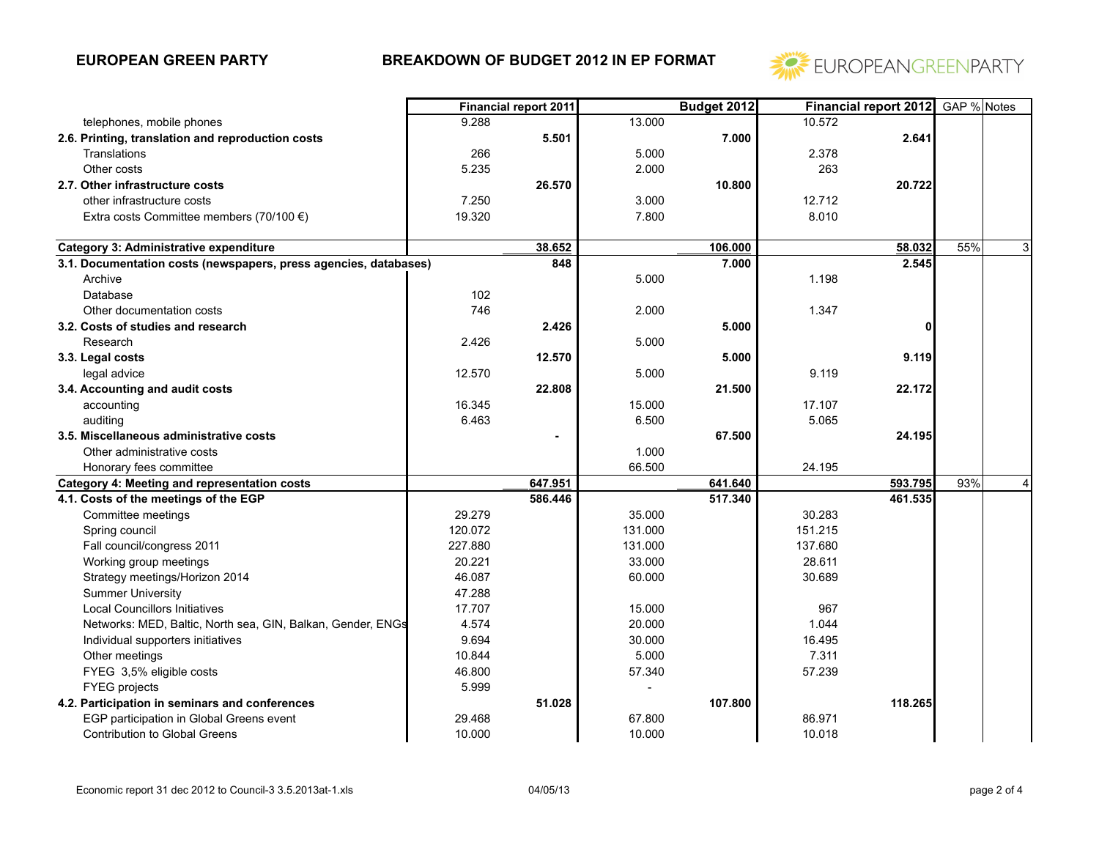

|                                                                  |         | <b>Financial report 2011</b> |         | Budget 2012 |         | <b>Financial report 2012</b> | GAP % Notes |                |
|------------------------------------------------------------------|---------|------------------------------|---------|-------------|---------|------------------------------|-------------|----------------|
| telephones, mobile phones                                        | 9.288   |                              | 13.000  |             | 10.572  |                              |             |                |
| 2.6. Printing, translation and reproduction costs                |         | 5.501                        |         | 7.000       |         | 2.641                        |             |                |
| Translations                                                     | 266     |                              | 5.000   |             | 2.378   |                              |             |                |
| Other costs                                                      | 5.235   |                              | 2.000   |             | 263     |                              |             |                |
| 2.7. Other infrastructure costs                                  |         | 26.570                       |         | 10.800      |         | 20.722                       |             |                |
| other infrastructure costs                                       | 7.250   |                              | 3.000   |             | 12.712  |                              |             |                |
| Extra costs Committee members (70/100 $\epsilon$ )               | 19.320  |                              | 7.800   |             | 8.010   |                              |             |                |
|                                                                  |         |                              |         |             |         |                              |             |                |
| <b>Category 3: Administrative expenditure</b>                    |         | 38.652                       |         | 106.000     |         | 58.032                       | 55%         | $\overline{3}$ |
| 3.1. Documentation costs (newspapers, press agencies, databases) |         | 848                          |         | 7.000       |         | 2.545                        |             |                |
| Archive                                                          |         |                              | 5.000   |             | 1.198   |                              |             |                |
| Database                                                         | 102     |                              |         |             |         |                              |             |                |
| Other documentation costs                                        | 746     |                              | 2.000   |             | 1.347   |                              |             |                |
| 3.2. Costs of studies and research                               |         | 2.426                        |         | 5.000       |         |                              |             |                |
| Research                                                         | 2.426   |                              | 5.000   |             |         |                              |             |                |
| 3.3. Legal costs                                                 |         | 12.570                       |         | 5.000       |         | 9.119                        |             |                |
| legal advice                                                     | 12.570  |                              | 5.000   |             | 9.119   |                              |             |                |
| 3.4. Accounting and audit costs                                  |         | 22.808                       |         | 21.500      |         | 22.172                       |             |                |
| accounting                                                       | 16.345  |                              | 15.000  |             | 17.107  |                              |             |                |
| auditing                                                         | 6.463   |                              | 6.500   |             | 5.065   |                              |             |                |
| 3.5. Miscellaneous administrative costs                          |         | $\blacksquare$               |         | 67.500      |         | 24.195                       |             |                |
| Other administrative costs                                       |         |                              | 1.000   |             |         |                              |             |                |
| Honorary fees committee                                          |         |                              | 66.500  |             | 24.195  |                              |             |                |
| Category 4: Meeting and representation costs                     |         | 647.951                      |         | 641.640     |         | 593.795                      | 93%         | $\vert$        |
| 4.1. Costs of the meetings of the EGP                            |         | 586.446                      |         | 517.340     |         | 461.535                      |             |                |
| Committee meetings                                               | 29.279  |                              | 35.000  |             | 30.283  |                              |             |                |
| Spring council                                                   | 120.072 |                              | 131.000 |             | 151.215 |                              |             |                |
| Fall council/congress 2011                                       | 227.880 |                              | 131.000 |             | 137.680 |                              |             |                |
| Working group meetings                                           | 20.221  |                              | 33.000  |             | 28.611  |                              |             |                |
| Strategy meetings/Horizon 2014                                   | 46.087  |                              | 60.000  |             | 30.689  |                              |             |                |
| <b>Summer University</b>                                         | 47.288  |                              |         |             |         |                              |             |                |
| <b>Local Councillors Initiatives</b>                             | 17.707  |                              | 15.000  |             | 967     |                              |             |                |
| Networks: MED, Baltic, North sea, GIN, Balkan, Gender, ENGs      | 4.574   |                              | 20.000  |             | 1.044   |                              |             |                |
| Individual supporters initiatives                                | 9.694   |                              | 30.000  |             | 16.495  |                              |             |                |
| Other meetings                                                   | 10.844  |                              | 5.000   |             | 7.311   |                              |             |                |
| FYEG 3,5% eligible costs                                         | 46.800  |                              | 57.340  |             | 57.239  |                              |             |                |
| <b>FYEG</b> projects                                             | 5.999   |                              |         |             |         |                              |             |                |
| 4.2. Participation in seminars and conferences                   |         | 51.028                       |         | 107.800     |         | 118.265                      |             |                |
| EGP participation in Global Greens event                         | 29.468  |                              | 67.800  |             | 86.971  |                              |             |                |
| <b>Contribution to Global Greens</b>                             | 10.000  |                              | 10.000  |             | 10.018  |                              |             |                |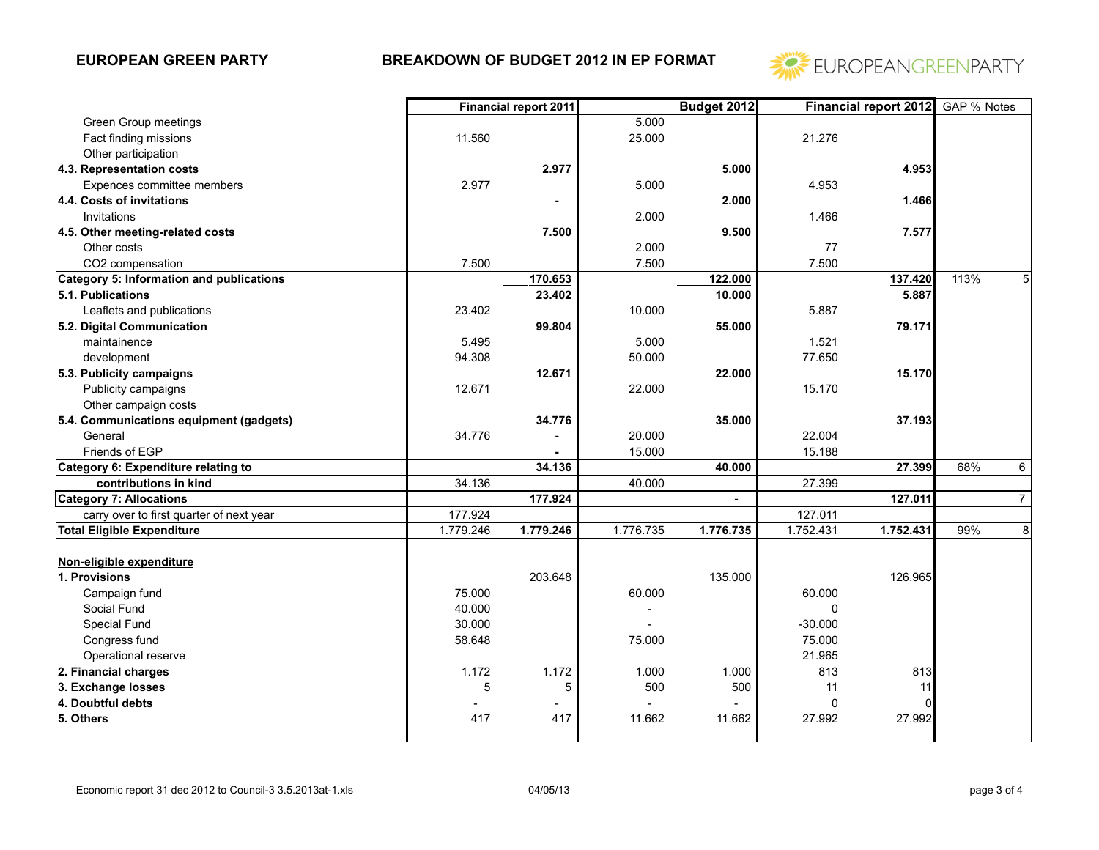

|                                                 | Financial report 2011 |           | <b>Budget 2012</b> |                | Financial report 2012 GAP % Notes |           |      |                |
|-------------------------------------------------|-----------------------|-----------|--------------------|----------------|-----------------------------------|-----------|------|----------------|
| Green Group meetings                            |                       |           | 5.000              |                |                                   |           |      |                |
| Fact finding missions                           | 11.560                |           | 25.000             |                | 21.276                            |           |      |                |
| Other participation                             |                       |           |                    |                |                                   |           |      |                |
| 4.3. Representation costs                       |                       | 2.977     |                    | 5.000          |                                   | 4.953     |      |                |
| Expences committee members                      | 2.977                 |           | 5.000              |                | 4.953                             |           |      |                |
| 4.4. Costs of invitations                       |                       |           |                    | 2.000          |                                   | 1.466     |      |                |
| Invitations                                     |                       |           | 2.000              |                | 1.466                             |           |      |                |
| 4.5. Other meeting-related costs                |                       | 7.500     |                    | 9.500          |                                   | 7.577     |      |                |
| Other costs                                     |                       |           | 2.000              |                | $77 \,$                           |           |      |                |
| CO2 compensation                                | 7.500                 |           | 7.500              |                | 7.500                             |           |      |                |
| <b>Category 5: Information and publications</b> |                       | 170.653   |                    | 122.000        |                                   | 137.420   | 113% | 5 <sup>1</sup> |
| 5.1. Publications                               |                       | 23.402    |                    | 10.000         |                                   | 5.887     |      |                |
| Leaflets and publications                       | 23.402                |           | 10.000             |                | 5.887                             |           |      |                |
| 5.2. Digital Communication                      |                       | 99.804    |                    | 55.000         |                                   | 79.171    |      |                |
| maintainence                                    | 5.495                 |           | 5.000              |                | 1.521                             |           |      |                |
| development                                     | 94.308                |           | 50.000             |                | 77.650                            |           |      |                |
| 5.3. Publicity campaigns                        |                       | 12.671    |                    | 22.000         |                                   | 15.170    |      |                |
| Publicity campaigns                             | 12.671                |           | 22.000             |                | 15.170                            |           |      |                |
| Other campaign costs                            |                       |           |                    |                |                                   |           |      |                |
| 5.4. Communications equipment (gadgets)         |                       | 34.776    |                    | 35.000         |                                   | 37.193    |      |                |
| General                                         | 34.776                |           | 20.000             |                | 22.004                            |           |      |                |
| Friends of EGP                                  |                       |           | 15.000             |                | 15.188                            |           |      |                |
| Category 6: Expenditure relating to             |                       | 34.136    |                    | 40.000         |                                   | 27.399    | 68%  | 6              |
| contributions in kind                           | 34.136                |           | 40.000             |                | 27.399                            |           |      |                |
| <b>Category 7: Allocations</b>                  |                       | 177.924   |                    | $\blacksquare$ |                                   | 127.011   |      | $\overline{7}$ |
| carry over to first quarter of next year        | 177.924               |           |                    |                | 127.011                           |           |      |                |
| <b>Total Eligible Expenditure</b>               | 1.779.246             | 1.779.246 | 1.776.735          | 1.776.735      | 1.752.431                         | 1.752.431 | 99%  | $\,8\,$        |
|                                                 |                       |           |                    |                |                                   |           |      |                |
| Non-eligible expenditure                        |                       |           |                    |                |                                   |           |      |                |
| 1. Provisions                                   |                       | 203.648   |                    | 135.000        |                                   | 126.965   |      |                |
| Campaign fund                                   | 75.000                |           | 60.000             |                | 60.000                            |           |      |                |
| Social Fund                                     | 40.000                |           |                    |                | $\Omega$                          |           |      |                |
| Special Fund                                    | 30.000                |           |                    |                | $-30.000$                         |           |      |                |
| Congress fund                                   | 58.648                |           | 75.000             |                | 75.000                            |           |      |                |
| Operational reserve                             |                       |           |                    |                | 21.965                            |           |      |                |
| 2. Financial charges                            | 1.172                 | 1.172     | 1.000              | 1.000          | 813                               | 813       |      |                |
| 3. Exchange losses                              | 5                     | 5         | 500                | 500            | 11                                | 11        |      |                |
| 4. Doubtful debts                               |                       |           |                    |                | $\mathbf 0$                       |           |      |                |
| 5. Others                                       | 417                   | 417       | 11.662             | 11.662         | 27.992                            | 27.992    |      |                |
|                                                 |                       |           |                    |                |                                   |           |      |                |